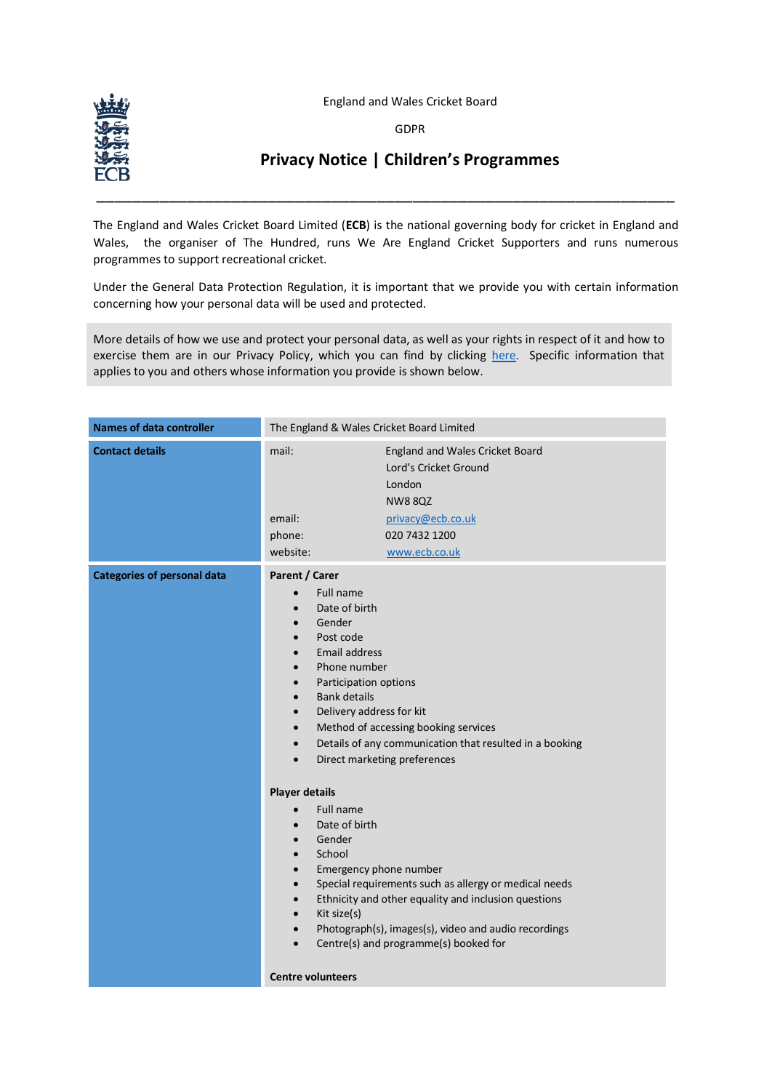England and Wales Cricket Board

GDPR



## **Privacy Notice | Children's Programmes**

The England and Wales Cricket Board Limited (**ECB**) is the national governing body for cricket in England and Wales, the organiser of The Hundred, runs We Are England Cricket Supporters and runs numerous programmes to support recreational cricket.

\_\_\_\_\_\_\_\_\_\_\_\_\_\_\_\_\_\_\_\_\_\_\_\_\_\_\_\_\_\_\_\_\_\_\_\_\_\_\_\_\_\_\_\_\_\_\_\_\_\_\_\_\_\_\_\_\_\_\_\_\_\_\_\_

Under the General Data Protection Regulation, it is important that we provide you with certain information concerning how your personal data will be used and protected.

More details of how we use and protect your personal data, as well as your rights in respect of it and how to exercise them are in our Privacy Policy, which you can find by clicking [here](http://www.ecb.co.uk/privacy). Specific information that applies to you and others whose information you provide is shown below.

| <b>Names of data controller</b>    | The England & Wales Cricket Board Limited                                                                                                                                                                                                                                                                                                                                                                                                                                                                                                |                                                                                                                                                                                                                                                                                                                                                   |
|------------------------------------|------------------------------------------------------------------------------------------------------------------------------------------------------------------------------------------------------------------------------------------------------------------------------------------------------------------------------------------------------------------------------------------------------------------------------------------------------------------------------------------------------------------------------------------|---------------------------------------------------------------------------------------------------------------------------------------------------------------------------------------------------------------------------------------------------------------------------------------------------------------------------------------------------|
| <b>Contact details</b>             | mail:<br>email:<br>phone:<br>website:                                                                                                                                                                                                                                                                                                                                                                                                                                                                                                    | England and Wales Cricket Board<br>Lord's Cricket Ground<br>London<br><b>NW88QZ</b><br>privacy@ecb.co.uk<br>020 7432 1200<br>www.ecb.co.uk                                                                                                                                                                                                        |
| <b>Categories of personal data</b> | Parent / Carer<br>Full name<br>Date of birth<br>Gender<br>$\bullet$<br>Post code<br>$\bullet$<br>Email address<br>$\bullet$<br>Phone number<br>$\bullet$<br>Participation options<br>$\bullet$<br><b>Bank details</b><br>$\bullet$<br>Delivery address for kit<br>$\bullet$<br>$\bullet$<br>$\bullet$<br>$\bullet$<br><b>Player details</b><br><b>Full name</b><br>Date of birth<br>Gender<br>School<br>$\bullet$<br>Emergency phone number<br>$\bullet$<br>$\bullet$<br>$\bullet$<br>Kit size(s)<br>$\bullet$<br>$\bullet$<br>$\bullet$ | Method of accessing booking services<br>Details of any communication that resulted in a booking<br>Direct marketing preferences<br>Special requirements such as allergy or medical needs<br>Ethnicity and other equality and inclusion questions<br>Photograph(s), images(s), video and audio recordings<br>Centre(s) and programme(s) booked for |
|                                    | <b>Centre volunteers</b>                                                                                                                                                                                                                                                                                                                                                                                                                                                                                                                 |                                                                                                                                                                                                                                                                                                                                                   |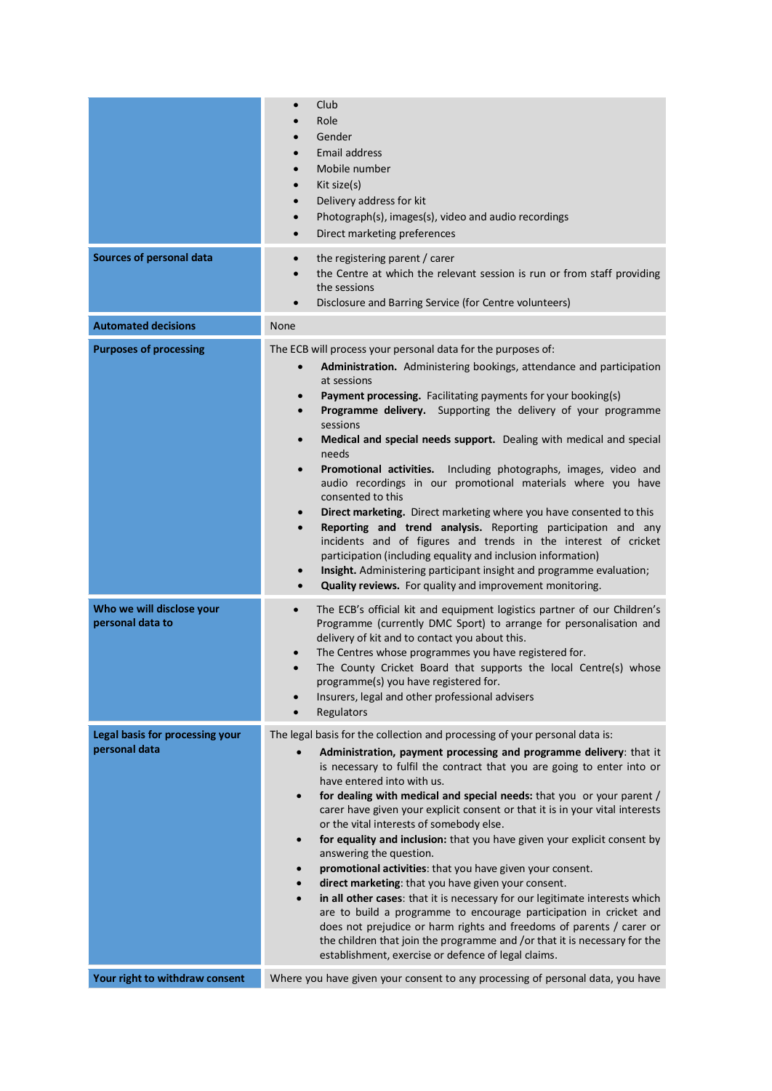| <b>Sources of personal data</b>                  | Club<br>Role<br>Gender<br><b>Email address</b><br>Mobile number<br>Kit size(s)<br>$\bullet$<br>Delivery address for kit<br>$\bullet$<br>Photograph(s), images(s), video and audio recordings<br>$\bullet$<br>Direct marketing preferences<br>$\bullet$<br>the registering parent / carer<br>$\bullet$<br>the Centre at which the relevant session is run or from staff providing<br>$\bullet$<br>the sessions<br>Disclosure and Barring Service (for Centre volunteers)<br>$\bullet$                                                                                                                                                                                                                                                                                                                                                                                                                                                                                                                                                                                                                                         |
|--------------------------------------------------|------------------------------------------------------------------------------------------------------------------------------------------------------------------------------------------------------------------------------------------------------------------------------------------------------------------------------------------------------------------------------------------------------------------------------------------------------------------------------------------------------------------------------------------------------------------------------------------------------------------------------------------------------------------------------------------------------------------------------------------------------------------------------------------------------------------------------------------------------------------------------------------------------------------------------------------------------------------------------------------------------------------------------------------------------------------------------------------------------------------------------|
| <b>Automated decisions</b>                       | None                                                                                                                                                                                                                                                                                                                                                                                                                                                                                                                                                                                                                                                                                                                                                                                                                                                                                                                                                                                                                                                                                                                         |
| <b>Purposes of processing</b>                    | The ECB will process your personal data for the purposes of:<br>Administration. Administering bookings, attendance and participation<br>$\bullet$<br>at sessions<br>Payment processing. Facilitating payments for your booking(s)<br>$\bullet$<br>Programme delivery. Supporting the delivery of your programme<br>$\bullet$<br>sessions<br>Medical and special needs support. Dealing with medical and special<br>$\bullet$<br>needs<br>Promotional activities. Including photographs, images, video and<br>$\bullet$<br>audio recordings in our promotional materials where you have<br>consented to this<br>Direct marketing. Direct marketing where you have consented to this<br>$\bullet$<br>Reporting and trend analysis. Reporting participation and any<br>$\bullet$<br>incidents and of figures and trends in the interest of cricket<br>participation (including equality and inclusion information)<br>Insight. Administering participant insight and programme evaluation;<br>$\bullet$<br>Quality reviews. For quality and improvement monitoring.                                                             |
| Who we will disclose your<br>personal data to    | The ECB's official kit and equipment logistics partner of our Children's<br>$\bullet$<br>Programme (currently DMC Sport) to arrange for personalisation and<br>delivery of kit and to contact you about this.<br>The Centres whose programmes you have registered for.<br>The County Cricket Board that supports the local Centre(s) whose<br>$\bullet$<br>programme(s) you have registered for.<br>Insurers, legal and other professional advisers<br>Regulators<br>$\bullet$                                                                                                                                                                                                                                                                                                                                                                                                                                                                                                                                                                                                                                               |
| Legal basis for processing your<br>personal data | The legal basis for the collection and processing of your personal data is:<br>Administration, payment processing and programme delivery: that it<br>is necessary to fulfil the contract that you are going to enter into or<br>have entered into with us.<br>for dealing with medical and special needs: that you or your parent /<br>$\bullet$<br>carer have given your explicit consent or that it is in your vital interests<br>or the vital interests of somebody else.<br>for equality and inclusion: that you have given your explicit consent by<br>$\bullet$<br>answering the question.<br>promotional activities: that you have given your consent.<br>$\bullet$<br>direct marketing: that you have given your consent.<br>$\bullet$<br>in all other cases: that it is necessary for our legitimate interests which<br>$\bullet$<br>are to build a programme to encourage participation in cricket and<br>does not prejudice or harm rights and freedoms of parents / carer or<br>the children that join the programme and /or that it is necessary for the<br>establishment, exercise or defence of legal claims. |
| Your right to withdraw consent                   | Where you have given your consent to any processing of personal data, you have                                                                                                                                                                                                                                                                                                                                                                                                                                                                                                                                                                                                                                                                                                                                                                                                                                                                                                                                                                                                                                               |